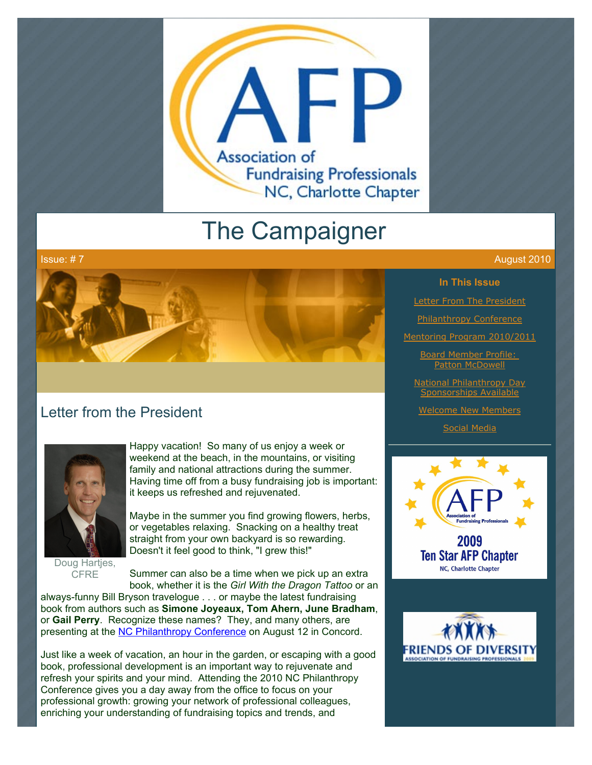

# The Campaigner



# Letter from the President



Doug Hartjes, **CFRE** 

Happy vacation! So many of us enjoy a week or weekend at the beach, in the mountains, or visiting family and national attractions during the summer. Having time off from a busy fundraising job is important: it keeps us refreshed and rejuvenated.

Maybe in the summer you find growing flowers, herbs, or vegetables relaxing. Snacking on a healthy treat straight from your own backyard is so rewarding. Doesn't it feel good to think, "I grew this!"

Summer can also be a time when we pick up an extra book, whether it is the *Girl With the Dragon Tattoo* or an

always-funny Bill Bryson travelogue . . . or maybe the latest fundraising book from authors such as **Simone Joyeaux, Tom Ahern, June Bradham**, or **Gail Perry**. Recognize these names? They, and many others, are presenting at the [NC Philanthropy Conference](http://www.ncphilanthropyconference.org/) on August 12 in Concord.

Just like a week of vacation, an hour in the garden, or escaping with a good book, professional development is an important way to rejuvenate and refresh your spirits and your mind. Attending the 2010 NC Philanthropy Conference gives you a day away from the office to focus on your professional growth: growing your network of professional colleagues, enriching your understanding of fundraising topics and trends, and

#### Issue: # 7 August 2010

#### **In This Issue**

**[Letter From The President](http://archive.constantcontact.com/fs051/1101610725496/archive/1103553076487.html#LETTER.BLOCK6)** 

[Philanthropy Conference](http://archive.constantcontact.com/fs051/1101610725496/archive/1103553076487.html#LETTER.BLOCK8)

[Mentoring Program 2010/2011](http://archive.constantcontact.com/fs051/1101610725496/archive/1103553076487.html#LETTER.BLOCK10)

[Board Member Profile:](http://archive.constantcontact.com/fs051/1101610725496/archive/1103553076487.html#LETTER.BLOCK12)  **Patton McDowell** 

[National Philanthropy Day](http://archive.constantcontact.com/fs051/1101610725496/archive/1103553076487.html#LETTER.BLOCK14) Sponsorships Available

[Welcome New Members](http://archive.constantcontact.com/fs051/1101610725496/archive/1103553076487.html#LETTER.BLOCK16)

[Social Media](http://archive.constantcontact.com/fs051/1101610725496/archive/1103553076487.html#LETTER.BLOCK18)



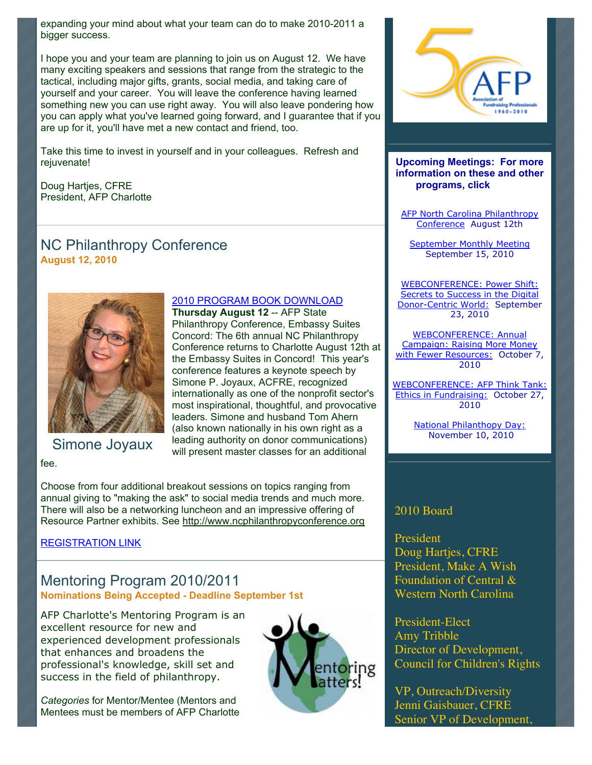expanding your mind about what your team can do to make 2010-2011 a bigger success.

I hope you and your team are planning to join us on August 12. We have many exciting speakers and sessions that range from the strategic to the tactical, including major gifts, grants, social media, and taking care of yourself and your career. You will leave the conference having learned something new you can use right away. You will also leave pondering how you can apply what you've learned going forward, and I guarantee that if you are up for it, you'll have met a new contact and friend, too.

Take this time to invest in yourself and in your colleagues. Refresh and rejuvenate!

> [2010 PROGRAM BOOK DOWNLOAD](http://www.ncphilanthropyconference.org/) **Thursday August 12** -- AFP State

Philanthropy Conference, Embassy Suites Concord: The 6th annual NC Philanthropy Conference returns to Charlotte August 12th at the Embassy Suites in Concord! This year's conference features a keynote speech by Simone P. Joyaux, ACFRE, recognized internationally as one of the nonprofit sector's most inspirational, thoughtful, and provocative leaders. Simone and husband Tom Ahern (also known nationally in his own right as a leading authority on donor communications) will present master classes for an additional

Doug Hartjes, CFRE President, AFP Charlotte

# NC Philanthropy Conference **August 12, 2010**



Simone Joyaux

fee.

Choose from four additional breakout sessions on topics ranging from annual giving to "making the ask" to social media trends and much more. There will also be a networking luncheon and an impressive offering of Resource Partner exhibits. See [http://www.ncphilanthropyconference.org](http://www.ncphilanthropyconference.org/)

#### [REGISTRATION LINK](http://www.ncphilanthropyconference.org/registration.html)

#### Mentoring Program 2010/2011 **Nominations Being Accepted - Deadline September 1st**

AFP Charlotte's Mentoring Program is an excellent resource for new and experienced development professionals that enhances and broadens the professional's knowledge, skill set and success in the field of philanthropy.

*Categories* for Mentor/Mentee (Mentors and Mentees must be members of AFP Charlotte





**Upcoming Meetings: For more information on these and other programs, click** 

[AFP North Carolina Philanthropy](http://www.ncphilanthropyconference.org/) Conference August 12th

[September Monthly Meeting](http://www.afp-charlotte.org/rsvp_details.html?id=2826) September 15, 2010

WEBCONFERENCE: Power Shift: Secrets to Success in the Digital [Donor-Centric World: September](http://www.afp-charlotte.org/rsvp_details.html?id=2821) 23, 2010

WEBCONFERENCE: Annual Campaign: Raising More Money [with Fewer Resources: October 7](http://www.afp-charlotte.org/rsvp_details.html?id=2822), 2010

[WEBCONFERENCE: AFP Think Tank:](http://www.afp-charlotte.org/rsvp_details.html?id=2824) Ethics in Fundraising: October 27, 2010

> [National Philanthopy Day:](http://www.afp-charlotte.org/rsvp_details.html?id=2925) November 10, 2010

#### 2010 Board

President Doug Hartjes, CFRE President, Make A Wish Foundation of Central & Western North Carolina

President-Elect Amy Tribble Director of Development, Council for Children's Rights

VP, Outreach/Diversity Jenni Gaisbauer, CFRE Senior VP of Development,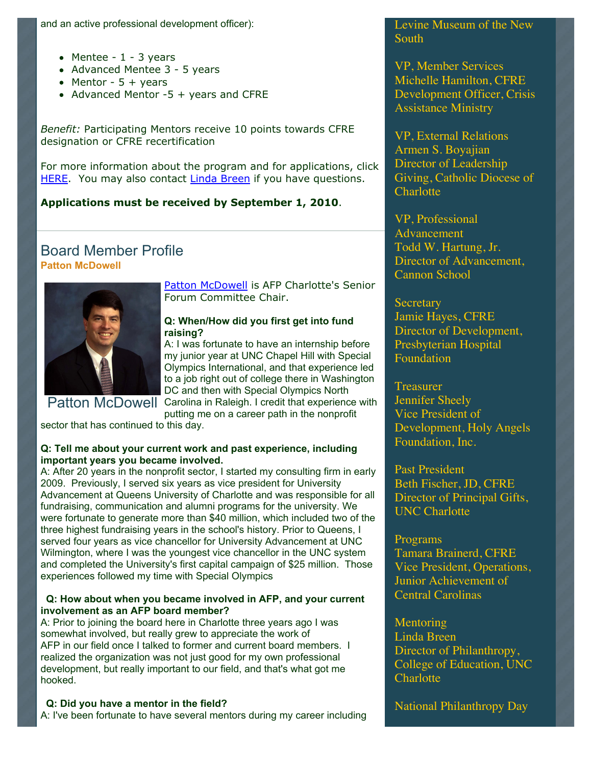- Mentee  $1 3$  years
- Advanced Mentee 3 5 years
- Mentor  $5 + \text{years}$
- Advanced Mentor  $-5 +$  years and CFRE

*Benefit:* Participating Mentors receive 10 points towards CFRE designation or CFRE recertification

For more information about the program and for applications, click [HERE.](http://www.afp-charlotte.org/page4.html) You may also contact [Linda Breen](mailto:lbreen@uncc.edu) if you have questions.

#### **Applications must be received by September 1, 2010**.

### Board Member Profile **Patton McDowell**



Patton McDowell is AFP Charlotte's Senior Forum Committee Chair.

#### **Q: When/How did you first get into fund raising?**

A: I was fortunate to have an internship before my junior year at UNC Chapel Hill with Special Olympics International, and that experience led to a job right out of college there in Washington DC and then with Special Olympics North

[Patton McDowell](mailto:PM@pattonmcdowell.com) Carolina in Raleigh. I credit that experience with

putting me on a career path in the nonprofit

sector that has continued to this day.

#### **Q: Tell me about your current work and past experience, including important years you became involved.**

A: After 20 years in the nonprofit sector, I started my consulting firm in early 2009. Previously, I served six years as vice president for University Advancement at Queens University of Charlotte and was responsible for all fundraising, communication and alumni programs for the university. We were fortunate to generate more than \$40 million, which included two of the three highest fundraising years in the school's history. Prior to Queens, I served four years as vice chancellor for University Advancement at UNC Wilmington, where I was the youngest vice chancellor in the UNC system and completed the University's first capital campaign of \$25 million. Those experiences followed my time with Special Olympics

#### **Q: How about when you became involved in AFP, and your current involvement as an AFP board member?**

A: Prior to joining the board here in Charlotte three years ago I was somewhat involved, but really grew to appreciate the work of AFP in our field once I talked to former and current board members. I realized the organization was not just good for my own professional development, but really important to our field, and that's what got me hooked.

#### **Q: Did you have a mentor in the field?**

A: I've been fortunate to have several mentors during my career including

Levine Museum of the New **South** 

VP, Member Services Michelle Hamilton, CFRE Development Officer, Crisis Assistance Ministry

VP, External Relations Armen S. Boyajian Director of Leadership Giving, Catholic Diocese of **Charlotte** 

VP, Professional Advancement Todd W. Hartung, Jr. Director of Advancement, Cannon School

**Secretary** Jamie Hayes, CFRE Director of Development, Presbyterian Hospital Foundation

**Treasurer** Jennifer Sheely Vice President of Development, Holy Angels Foundation, Inc.

Past President Beth Fischer, JD, CFRE Director of Principal Gifts, UNC Charlotte

#### Programs

Tamara Brainerd, CFRE Vice President, Operations, Junior Achievement of Central Carolinas

#### **Mentoring**

Linda Breen Director of Philanthropy, College of Education, UNC **Charlotte** 

National Philanthropy Day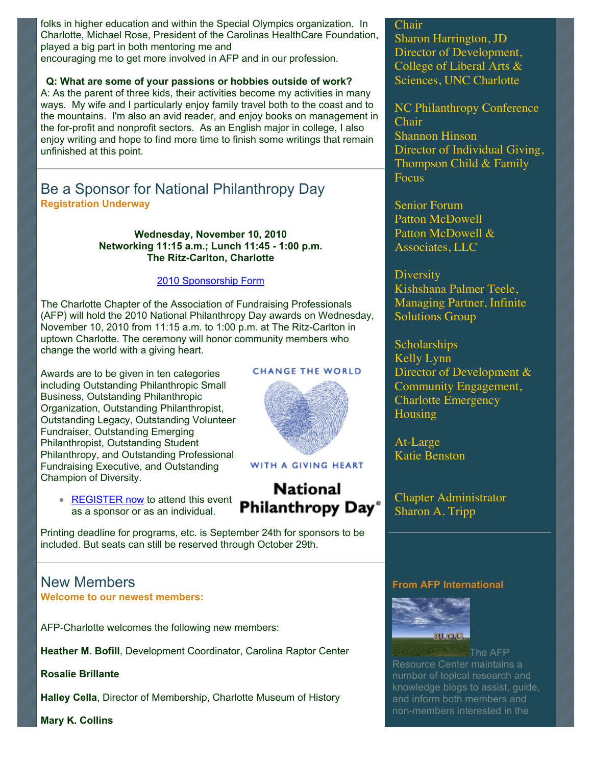folks in higher education and within the Special Olympics organization. In Charlotte, Michael Rose, President of the Carolinas HealthCare Foundation, played a big part in both mentoring me and

encouraging me to get more involved in AFP and in our profession.

**Q: What are some of your passions or hobbies outside of work?** A: As the parent of three kids, their activities become my activities in many ways. My wife and I particularly enjoy family travel both to the coast and to the mountains. I'm also an avid reader, and enjoy books on management in the for-profit and nonprofit sectors. As an English major in college, I also enjoy writing and hope to find more time to finish some writings that remain unfinished at this point.

## Be a Sponsor for National Philanthropy Day **Registration Underway**

**Wednesday, November 10, 2010 Networking 11:15 a.m.; Lunch 11:45 - 1:00 p.m. The Ritz-Carlton, Charlotte**

#### [2010 Sponsorship Form](http://www.afp-charlotte.org/customers/102012921065393/filemanager/2010_Sponsorship_Form.pdf)

The Charlotte Chapter of the Association of Fundraising Professionals (AFP) will hold the 2010 National Philanthropy Day awards on Wednesday, November 10, 2010 from 11:15 a.m. to 1:00 p.m. at The Ritz-Carlton in uptown Charlotte. The ceremony will honor community members who change the world with a giving heart.

Awards are to be given in ten categories including Outstanding Philanthropic Small Business, Outstanding Philanthropic Organization, Outstanding Philanthropist, Outstanding Legacy, Outstanding Volunteer Fundraiser, Outstanding Emerging Philanthropist, Outstanding Student Philanthropy, and Outstanding Professional Fundraising Executive, and Outstanding Champion of Diversity.

**[REGISTER now](http://www.afp-charlotte.org/rsvp_details.html?id=2925)** to attend this event as a sponsor or as an individual.

Printing deadline for programs, etc. is September 24th for sponsors to be included. But seats can still be reserved through October 29th.

#### New Members **Welcome to our newest members:**

AFP-Charlotte welcomes the following new members:

**Heather M. Bofill**, Development Coordinator, Carolina Raptor Center

**Rosalie Brillante**

**Halley Cella**, Director of Membership, Charlotte Museum of History

**Mary K. Collins**

#### **CHANGE THE WORLD**



#### WITH A GIVING HEART

# **National** Philanthropy Day®

#### Sharon Harrington, JD Director of Development, College of Liberal Arts & Sciences, UNC Charlotte

Chair

NC Philanthropy Conference Chair Shannon Hinson Director of Individual Giving, Thompson Child & Family **Focus** 

Senior Forum Patton McDowell Patton McDowell & Associates, LLC

**Diversity** Kishshana Palmer Teele, Managing Partner, Infinite Solutions Group

Scholarships Kelly Lynn Director of Development & Community Engagement, Charlotte Emergency Housing

At-Large Katie Benston

Chapter Administrator Sharon A. Tripp

#### **From AFP International**



The AFP Resource Center maintains a number of topical research and knowledge blogs to assist, guide, and inform both members and non-members interested in the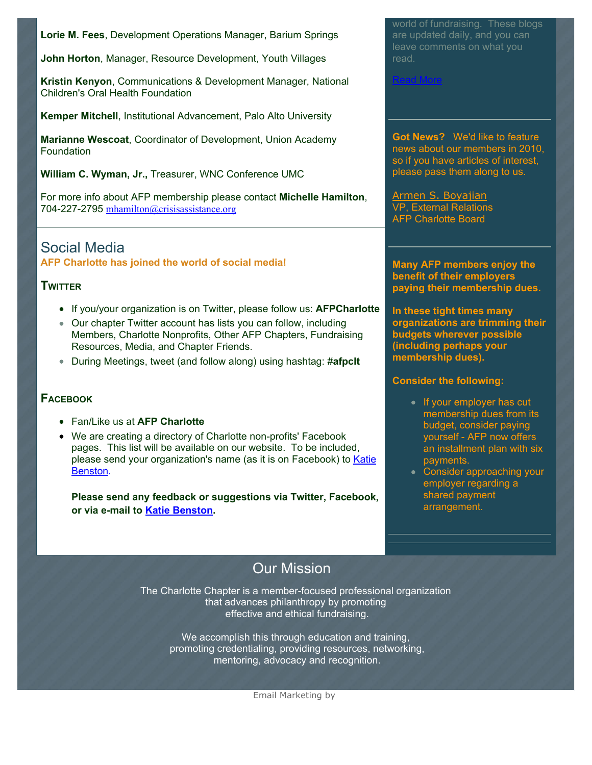**Lorie M. Fees**, Development Operations Manager, Barium Springs

**John Horton**, Manager, Resource Development, Youth Villages

**Kristin Kenyon**, Communications & Development Manager, National Children's Oral Health Foundation

**Kemper Mitchell**, Institutional Advancement, Palo Alto University

**Marianne Wescoat**, Coordinator of Development, Union Academy **Foundation** 

**William C. Wyman, Jr.,** Treasurer, WNC Conference UMC

For more info about AFP membership please contact **Michelle Hamilton**, 704-227-2795 [mhamilton@crisisassistance.org](mailto:mhamilton@crisisassistance.org)

# Social Media

**AFP Charlotte has joined the world of social media!**

#### **TWITTER**

- If you/your organization is on Twitter, please follow us: **AFPCharlotte**
- Our chapter Twitter account has lists you can follow, including Members, Charlotte Nonprofits, Other AFP Chapters, Fundraising Resources, Media, and Chapter Friends.
- During Meetings, tweet (and follow along) using hashtag: #**afpclt**

#### **FACEBOOK**

- Fan/Like us at **AFP Charlotte**
- We are creating a directory of Charlotte non-profits' Facebook pages. This list will be available on our website. To be included, [please send your organization's name \(as it is on Facebook\) to Katie](mailto:benstonk@hpccr.org) Benston.

**Please send any feedback or suggestions via Twitter, Facebook, or via e-mail to [Katie Benston](mailto:benstonk@hpccr.org).**

world of fundraising. These blogs are updated daily, and you can leave comments on what you read.

[Read More](http://www.afpnet.org/ResourceCenter/content.cfm?ItemNumber=3092&navItemNumber=548)

**Got News?** We'd like to feature news about our members in 2010, so if you have articles of interest, please pass them along to us.

[Armen S. Boyajian](mailto:asboyajian@charlottediocese.org) VP, External Relations AFP Charlotte Board

**Many AFP members enjoy the benefit of their employers paying their membership dues.**

**In these tight times many organizations are trimming their budgets wherever possible (including perhaps your membership dues).** 

#### **Consider the following:**

- If your employer has cut membership dues from its budget, consider paying yourself - AFP now offers an installment plan with six payments.
- Consider approaching your employer regarding a shared payment arrangement.

# Our Mission

The Charlotte Chapter is a member-focused professional organization that advances philanthropy by promoting effective and ethical fundraising.

> We accomplish this through education and training, promoting credentialing, providing resources, networking, mentoring, advocacy and recognition.

> > [Email Marketing](http://www.constantcontact.com/index.jsp?cc=TEM_News_215) by